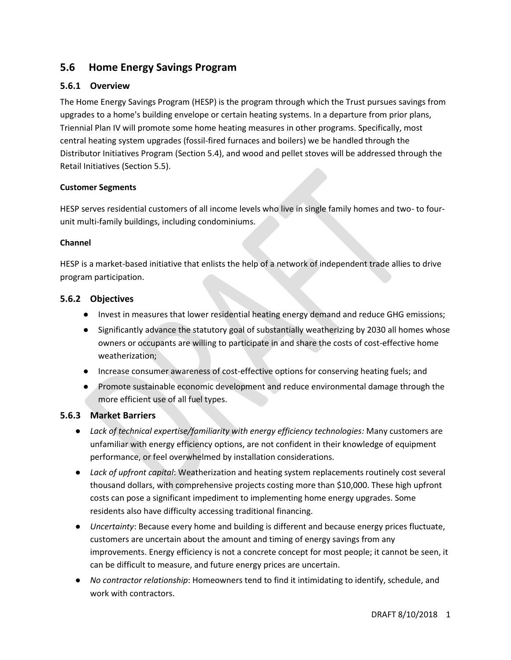# **5.6 Home Energy Savings Program**

# **5.6.1 Overview**

The Home Energy Savings Program (HESP) is the program through which the Trust pursues savings from upgrades to a home's building envelope or certain heating systems. In a departure from prior plans, Triennial Plan IV will promote some home heating measures in other programs. Specifically, most central heating system upgrades (fossil-fired furnaces and boilers) we be handled through the Distributor Initiatives Program (Section 5.4), and wood and pellet stoves will be addressed through the Retail Initiatives (Section 5.5).

#### **Customer Segments**

HESP serves residential customers of all income levels who live in single family homes and two- to fourunit multi-family buildings, including condominiums.

#### **Channel**

HESP is a market-based initiative that enlists the help of a network of independent trade allies to drive program participation.

### **5.6.2 Objectives**

- Invest in measures that lower residential heating energy demand and reduce GHG emissions;
- Significantly advance the statutory goal of substantially weatherizing by 2030 all homes whose owners or occupants are willing to participate in and share the costs of cost-effective home weatherization;
- Increase consumer awareness of cost-effective options for conserving heating fuels; and
- Promote sustainable economic development and reduce environmental damage through the more efficient use of all fuel types.

### **5.6.3 Market Barriers**

- *Lack of technical expertise/familiarity with energy efficiency technologies:* Many customers are unfamiliar with energy efficiency options, are not confident in their knowledge of equipment performance, or feel overwhelmed by installation considerations.
- *Lack of upfront capital*: Weatherization and heating system replacements routinely cost several thousand dollars, with comprehensive projects costing more than \$10,000. These high upfront costs can pose a significant impediment to implementing home energy upgrades. Some residents also have difficulty accessing traditional financing.
- *Uncertainty*: Because every home and building is different and because energy prices fluctuate, customers are uncertain about the amount and timing of energy savings from any improvements. Energy efficiency is not a concrete concept for most people; it cannot be seen, it can be difficult to measure, and future energy prices are uncertain.
- *No contractor relationship*: Homeowners tend to find it intimidating to identify, schedule, and work with contractors.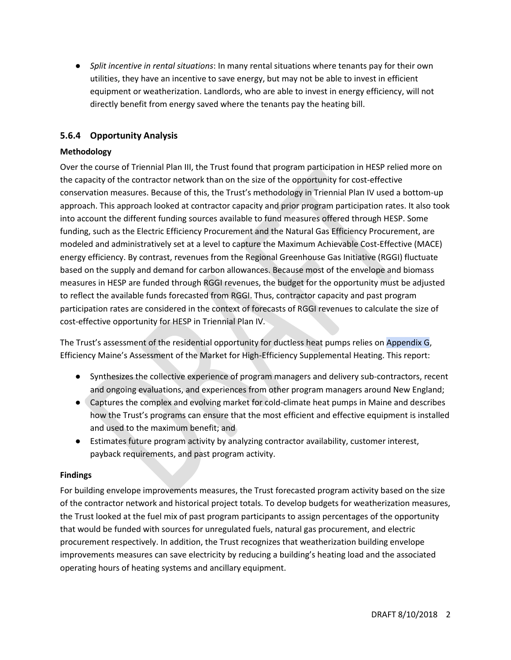● *Split incentive in rental situations*: In many rental situations where tenants pay for their own utilities, they have an incentive to save energy, but may not be able to invest in efficient equipment or weatherization. Landlords, who are able to invest in energy efficiency, will not directly benefit from energy saved where the tenants pay the heating bill.

# **5.6.4 Opportunity Analysis**

### **Methodology**

Over the course of Triennial Plan III, the Trust found that program participation in HESP relied more on the capacity of the contractor network than on the size of the opportunity for cost-effective conservation measures. Because of this, the Trust's methodology in Triennial Plan IV used a bottom-up approach. This approach looked at contractor capacity and prior program participation rates. It also took into account the different funding sources available to fund measures offered through HESP. Some funding, such as the Electric Efficiency Procurement and the Natural Gas Efficiency Procurement, are modeled and administratively set at a level to capture the Maximum Achievable Cost-Effective (MACE) energy efficiency. By contrast, revenues from the Regional Greenhouse Gas Initiative (RGGI) fluctuate based on the supply and demand for carbon allowances. Because most of the envelope and biomass measures in HESP are funded through RGGI revenues, the budget for the opportunity must be adjusted to reflect the available funds forecasted from RGGI. Thus, contractor capacity and past program participation rates are considered in the context of forecasts of RGGI revenues to calculate the size of cost-effective opportunity for HESP in Triennial Plan IV.

The Trust's assessment of the residential opportunity for ductless heat pumps relies on Appendix G, Efficiency Maine's Assessment of the Market for High-Efficiency Supplemental Heating. This report:

- Synthesizes the collective experience of program managers and delivery sub-contractors, recent and ongoing evaluations, and experiences from other program managers around New England;
- Captures the complex and evolving market for cold-climate heat pumps in Maine and describes how the Trust's programs can ensure that the most efficient and effective equipment is installed and used to the maximum benefit; and
- Estimates future program activity by analyzing contractor availability, customer interest, payback requirements, and past program activity.

#### **Findings**

For building envelope improvements measures, the Trust forecasted program activity based on the size of the contractor network and historical project totals. To develop budgets for weatherization measures, the Trust looked at the fuel mix of past program participants to assign percentages of the opportunity that would be funded with sources for unregulated fuels, natural gas procurement, and electric procurement respectively. In addition, the Trust recognizes that weatherization building envelope improvements measures can save electricity by reducing a building's heating load and the associated operating hours of heating systems and ancillary equipment.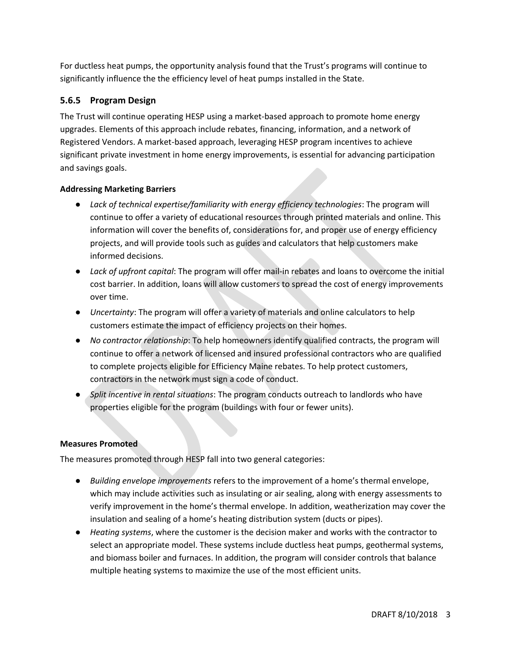For ductless heat pumps, the opportunity analysis found that the Trust's programs will continue to significantly influence the the efficiency level of heat pumps installed in the State.

# **5.6.5 Program Design**

The Trust will continue operating HESP using a market-based approach to promote home energy upgrades. Elements of this approach include rebates, financing, information, and a network of Registered Vendors. A market-based approach, leveraging HESP program incentives to achieve significant private investment in home energy improvements, is essential for advancing participation and savings goals.

# **Addressing Marketing Barriers**

- *Lack of technical expertise/familiarity with energy efficiency technologies*: The program will continue to offer a variety of educational resources through printed materials and online. This information will cover the benefits of, considerations for, and proper use of energy efficiency projects, and will provide tools such as guides and calculators that help customers make informed decisions.
- *Lack of upfront capital*: The program will offer mail-in rebates and loans to overcome the initial cost barrier. In addition, loans will allow customers to spread the cost of energy improvements over time.
- *Uncertainty*: The program will offer a variety of materials and online calculators to help customers estimate the impact of efficiency projects on their homes.
- *No contractor relationship*: To help homeowners identify qualified contracts, the program will continue to offer a network of licensed and insured professional contractors who are qualified to complete projects eligible for Efficiency Maine rebates. To help protect customers, contractors in the network must sign a code of conduct.
- *Split incentive in rental situations*: The program conducts outreach to landlords who have properties eligible for the program (buildings with four or fewer units).

### **Measures Promoted**

The measures promoted through HESP fall into two general categories:

- *Building envelope improvements* refers to the improvement of a home's thermal envelope, which may include activities such as insulating or air sealing, along with energy assessments to verify improvement in the home's thermal envelope. In addition, weatherization may cover the insulation and sealing of a home's heating distribution system (ducts or pipes).
- *Heating systems*, where the customer is the decision maker and works with the contractor to select an appropriate model. These systems include ductless heat pumps, geothermal systems, and biomass boiler and furnaces. In addition, the program will consider controls that balance multiple heating systems to maximize the use of the most efficient units.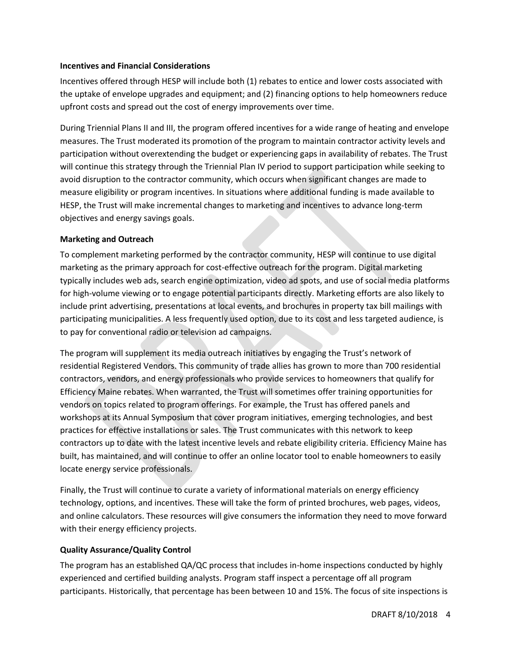#### **Incentives and Financial Considerations**

Incentives offered through HESP will include both (1) rebates to entice and lower costs associated with the uptake of envelope upgrades and equipment; and (2) financing options to help homeowners reduce upfront costs and spread out the cost of energy improvements over time.

During Triennial Plans II and III, the program offered incentives for a wide range of heating and envelope measures. The Trust moderated its promotion of the program to maintain contractor activity levels and participation without overextending the budget or experiencing gaps in availability of rebates. The Trust will continue this strategy through the Triennial Plan IV period to support participation while seeking to avoid disruption to the contractor community, which occurs when significant changes are made to measure eligibility or program incentives. In situations where additional funding is made available to HESP, the Trust will make incremental changes to marketing and incentives to advance long-term objectives and energy savings goals.

#### **Marketing and Outreach**

To complement marketing performed by the contractor community, HESP will continue to use digital marketing as the primary approach for cost-effective outreach for the program. Digital marketing typically includes web ads, search engine optimization, video ad spots, and use of social media platforms for high-volume viewing or to engage potential participants directly. Marketing efforts are also likely to include print advertising, presentations at local events, and brochures in property tax bill mailings with participating municipalities. A less frequently used option, due to its cost and less targeted audience, is to pay for conventional radio or television ad campaigns.

The program will supplement its media outreach initiatives by engaging the Trust's network of residential Registered Vendors. This community of trade allies has grown to more than 700 residential contractors, vendors, and energy professionals who provide services to homeowners that qualify for Efficiency Maine rebates. When warranted, the Trust will sometimes offer training opportunities for vendors on topics related to program offerings. For example, the Trust has offered panels and workshops at its Annual Symposium that cover program initiatives, emerging technologies, and best practices for effective installations or sales. The Trust communicates with this network to keep contractors up to date with the latest incentive levels and rebate eligibility criteria. Efficiency Maine has built, has maintained, and will continue to offer an online locator tool to enable homeowners to easily locate energy service professionals.

Finally, the Trust will continue to curate a variety of informational materials on energy efficiency technology, options, and incentives. These will take the form of printed brochures, web pages, videos, and online calculators. These resources will give consumers the information they need to move forward with their energy efficiency projects.

#### **Quality Assurance/Quality Control**

The program has an established QA/QC process that includes in-home inspections conducted by highly experienced and certified building analysts. Program staff inspect a percentage off all program participants. Historically, that percentage has been between 10 and 15%. The focus of site inspections is